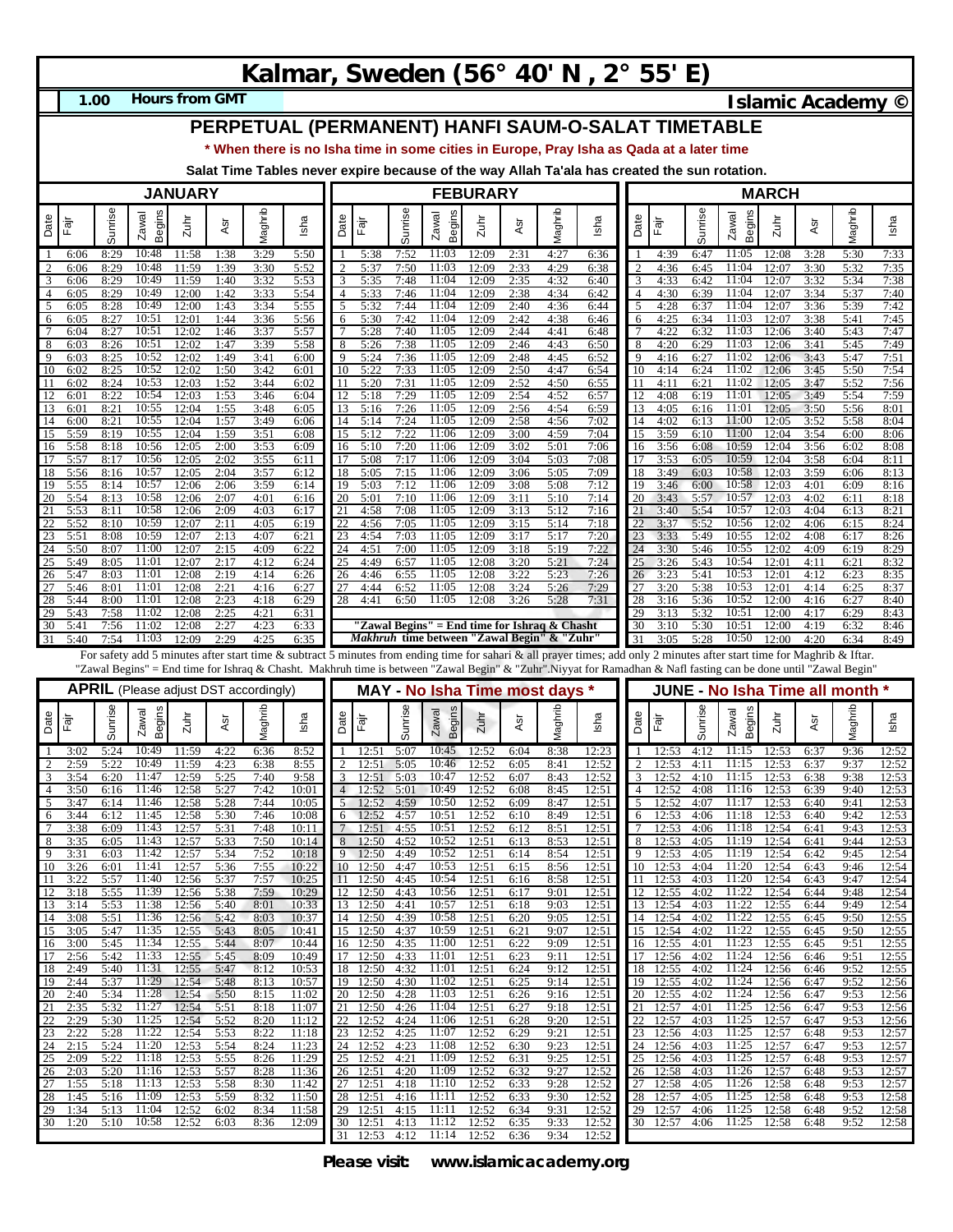## **Kalmar, Sweden (56° 40' N , 2° 55' E)**

**1.00**

**Hours from GMT Islamic Academy ©** 

## **PERPETUAL (PERMANENT) HANFI SAUM-O-SALAT TIMETABLE**

**\* When there is no Isha time in some cities in Europe, Pray Isha as Qada at a later time**

**Salat Time Tables never expire because of the way Allah Ta'ala has created the sun rotation.**

|                      | <b>JANUARY</b>       |                      |                                              |                         |                      |                      |                         |          |                            | <b>FEBURARY</b>      |                                                    |                         |                      |                      |                                                                                                                                                                  |                | <b>MARCH</b>                                                                                                                                                            |                      |                                        |                         |                      |                      |                         |
|----------------------|----------------------|----------------------|----------------------------------------------|-------------------------|----------------------|----------------------|-------------------------|----------|----------------------------|----------------------|----------------------------------------------------|-------------------------|----------------------|----------------------|------------------------------------------------------------------------------------------------------------------------------------------------------------------|----------------|-------------------------------------------------------------------------------------------------------------------------------------------------------------------------|----------------------|----------------------------------------|-------------------------|----------------------|----------------------|-------------------------|
| Date                 | Fajr                 | Sunrise              | Begins<br>Zawal                              | Zuhi                    | Āsr                  | Maghrib              | Isha                    | Date     | Ēājī                       | Sunrise              | Begins<br>Zawal                                    | $2u$ hr                 | ĀSr                  | Maghrib              | Isha                                                                                                                                                             | Date           | Fajr                                                                                                                                                                    | Sunrise              | Begins<br>Zawal                        | 2uhr                    | ĀSr                  | Vlaghrib             | Isha                    |
| -1<br>$\overline{2}$ | 6:06<br>6:06         | 8:29<br>8:29         | 10:48<br>10:48                               | 11:58<br>11:59          | 1:38<br>1:39         | 3:29<br>3:30         | 5:50<br>5:52            |          | 5:38<br>5:37               | 7:52<br>7:50         | 11:03<br>11:03                                     | 12:09<br>12:09          | 2:31<br>2:33         | 4:27<br>4:29         | 6:36<br>6:38                                                                                                                                                     | 2              | 4:39<br>4:36                                                                                                                                                            | 6:47<br>6:45         | 11:05<br>11:04                         | 12:08<br>12:07          | 3:28<br>3:30         | 5:30<br>5:32         | 7:33<br>7:35            |
| 3                    | 6:06                 | 8:29                 | 10:49                                        | 11:59                   | 1:40                 | 3:32                 | 5:53                    |          | 5:35                       | 7:48                 | 11:04                                              | 12:09                   | 2:35                 | 4:32                 | 6:40                                                                                                                                                             | 3              | 4:33                                                                                                                                                                    | 6:42                 | 11:04                                  | 12:07                   | 3:32                 | 5:34                 | 7:38                    |
| $\overline{4}$       | 6:05                 | 8:29                 | 10:49                                        | 12:00                   | 1:42                 | 3:33                 | 5:54                    |          | 5:33                       | 7:46                 | 11:04                                              | 12:09                   | 2:38                 | 4:34                 | 6:42                                                                                                                                                             | $\overline{4}$ | 4:30                                                                                                                                                                    | 6:39                 | 11:04                                  | 12:07                   | 3:34                 | 5:37                 | 7:40                    |
| 5<br>6               | 6:05<br>6:05         | 8:28<br>8:27         | 10:49<br>10:51                               | 12:00<br>12:01          | 1:43<br>1:44         | 3:34<br>3:36         | 5:55<br>5:56            | 5<br>6   | 5:32<br>5:30               | 7:44<br>7:42         | 11:04<br>11:04                                     | 12:09<br>12:09          | 2:40<br>2:42         | 4:36<br>4:38         | 6:44<br>6:46                                                                                                                                                     | 5<br>6         | 4:28<br>4:25                                                                                                                                                            | 6:37<br>6:34         | 11:04<br>11:03                         | 12:07<br>12:07          | 3:36<br>3:38         | 5:39<br>5:41         | 7:42<br>7:45            |
| $7\phantom{.0}$      | 6:04                 | 8:27                 | 10:51                                        | 12:02                   | 1:46                 | 3:37                 | 5:57                    |          | 5:28                       | 7:40                 | 11:05                                              | 12:09                   | 2:44                 | 4:41                 | 6:48                                                                                                                                                             |                | 4:22                                                                                                                                                                    | 6:32                 | 11:03                                  | 12:06                   | 3:40                 | 5:43                 | 7:47                    |
| 8<br>9               | 6:03<br>6:03         | 8:26<br>8:25         | 10:51<br>10:52                               | 12:02<br>12:02          | 1:47<br>1:49         | 3:39<br>3:41         | 5:58<br>6:00            | 8<br>q   | 5:26<br>5:24               | 7:38<br>7:36         | 11:05<br>11:05                                     | 12:09<br>12:09          | 2:46<br>2:48         | 4:43<br>4:45         | 6:50<br>6:52                                                                                                                                                     | 8<br>9         | 4:20<br>4:16                                                                                                                                                            | 6:29<br>6:27         | 11:03<br>11:02                         | 12:06<br>12:06          | 3:41<br>3:43         | 5:45<br>5:47         | 7:49<br>7:51            |
| 10                   | 6:02                 | 8:25                 | 10:52                                        | 12:02                   | 1:50                 | 3:42                 | 6:01                    | 10       | 5:22                       | 7:33                 | 11:05                                              | 12:09                   | 2:50                 | 4:47                 | 6:54                                                                                                                                                             | 10             | 4:14                                                                                                                                                                    | 6:24                 | 11:02                                  | 12:06                   | 3:45                 | 5:50                 | 7:54                    |
| 11                   | 6:02                 | 8:24                 | 10:53                                        | 12:03                   | 1:52                 | 3:44                 | 6:02                    |          | 5:20                       | 7:31                 | 11:05                                              | 12:09                   | 2:52                 | 4:50                 | 6:55                                                                                                                                                             | 11             | 4:11                                                                                                                                                                    | 6:21                 | 11:02                                  | 12:05                   | 3:47                 | 5:52                 | 7:56                    |
| 12<br>13             | 6:0<br>6:0           | 8:22<br>8:21         | 10:54<br>10:55                               | 12:03<br>12:04          | 1:53<br>1:55         | 3:46<br>3:48         | 6:04<br>6:05            | 13       | 5:18<br>5:16               | 7:29<br>7:26         | 11:05<br>11:05                                     | 12:09<br>12:09          | 2:54<br>2:56         | 4:52<br>4:54         | 6:57<br>6:59                                                                                                                                                     | 12<br>13       | 4:08<br>4:05                                                                                                                                                            | 6:19<br>6:16         | 11:01<br>11:01                         | 12:05<br>12:05          | 3:49<br>3:50         | 5:54<br>5:56         | 7:59<br>8:01            |
| 14                   | 6:00                 | 8:21                 | 10:55                                        | 12:04                   | 1:57                 | 3:49                 | 6:06                    | 14       | 5:14                       | 7:24                 | 11:05                                              | 12:09                   | 2:58                 | 4:56                 | 7:02                                                                                                                                                             | 14             | 4:02                                                                                                                                                                    | 6:13                 | 11:00                                  | 12:05                   | 3:52                 | 5:58                 | 8:04                    |
| 15<br>16             | 5:59<br>5:58         | 8:19<br>8:18         | 10:55<br>10:56                               | 12:04<br>12:05          | 1:59<br>2:00         | 3:51<br>3:53         | 6:08<br>6:09            | 15<br>16 | 5:12<br>5:10               | 7:22<br>7:20         | 11:06<br>11:06                                     | 12:09<br>12:09          | 3:00<br>3:02         | 4:59<br>5:01         | 7:04<br>7:06                                                                                                                                                     | 15<br>16       | 3:59<br>3:56                                                                                                                                                            | 6:10<br>6:08         | 11:00<br>10:59                         | 12:04<br>12:04          | 3:54<br>3:56         | 6:00<br>6:02         | 8:06<br>8:08            |
| 17                   | 5:57                 | 8:17                 | 10:56                                        | 12:05                   | 2:02                 | 3:55                 | 6:11                    |          | 5:08                       | 7:17                 | 11:06                                              | 12:09                   | 3:04                 | 5:03                 | 7:08                                                                                                                                                             | 17             | 3:53                                                                                                                                                                    | 6:05                 | 10:59                                  | 12:04                   | 3:58                 | 6:04                 | 8:11                    |
| 18                   | 5:56                 | 8:16                 | 10:57                                        | 12:05                   | 2:04                 | 3:57                 | 6:12                    | 18       | 5:05                       | 7:15                 | 11:06<br>11:06                                     | 12:09                   | 3:06                 | 5:05                 | 7:09                                                                                                                                                             | 18             | 3:49                                                                                                                                                                    | 6:03                 | 10:58                                  | 12:03                   | 3:59                 | 6:06                 | 8:13                    |
| 19<br>20             | 5:55<br>5:54         | 8:14<br>8:13         | 10:57<br>10:58                               | 12:06<br>12:06          | 2:06<br>2:07         | 3:59<br>4:01         | 6:14<br>6:16            | 19<br>20 | 5:03<br>5:01               | 7:12<br>7:10         | 11:06                                              | 12:09<br>12:09          | 3:08<br>3:11         | 5:08<br>5:10         | 7:12<br>7:14                                                                                                                                                     | 19<br>20       | 3:46<br>3:43                                                                                                                                                            | 6:00<br>5:57         | 10:58<br>10:57                         | 12:03<br>12:03          | 4:01<br>4:02         | 6:09<br>6:11         | 8:16<br>8:18            |
| 21                   | 5:53                 | 8:11                 | 10:58                                        | 12:06                   | 2:09                 | 4:03                 | 6:17                    |          | 4:58                       | 7:08                 | 11:05                                              | 12:09                   | 3:13                 | 5:12                 | 7:16                                                                                                                                                             | 21             | 3:40                                                                                                                                                                    | 5:54                 | 10:57                                  | 12:03                   | 4:04                 | 6:13                 | 8:21                    |
| 22<br>23             | 5:52<br>5:51         | 8:10<br>8:08         | 10:59<br>10:59                               | 12:07<br>12:07          | 2:11<br>2:13         | 4:05<br>4:07         | 6:19<br>6:21            | 23       | 4:56<br>4:54               | 7:05<br>7:03         | 11:05<br>11:05                                     | 12:09<br>12:09          | 3:15<br>3:17         | 5:14<br>5:17         | 7:18<br>7:20                                                                                                                                                     | 22<br>23       | 3:37<br>3:33                                                                                                                                                            | 5:52<br>5:49         | 10:56<br>10:55                         | 12:02<br>12:02          | 4:06<br>4:08         | 6:15<br>6:17         | 8:24<br>8:26            |
| 24                   | 5:50                 | 8:07                 | 11:00                                        | 12:07                   | 2:15                 | 4:09                 | 6:22                    | 24       | 4:51                       | 7:00                 | 11:05                                              | 12:09                   | 3:18                 | 5:19                 | 7:22                                                                                                                                                             | 24             | 3:30                                                                                                                                                                    | 5:46                 | 10:55                                  | 12:02                   | 4:09                 | 6:19                 | 8:29                    |
| 25                   | 5:49                 | 8:05                 | 11:01                                        | 12:07                   | 2:17                 | 4:12                 | 6:24                    | 25       | 4:49                       | 6:57                 | 11:05                                              | 12:08                   | 3:20                 | 5:21                 | 7:24                                                                                                                                                             | 25             | 3:26                                                                                                                                                                    | 5:43                 | 10:54                                  | 12:01                   | 4:11                 | 6:21                 | 8:32                    |
| 26<br>27             | 5:47<br>5:46         | 8:03<br>8:01         | 11:01<br>11:01                               | 12:08<br>12:08          | 2:19<br>2:21         | 4:14<br>4:16         | 6:26<br>6:27            | 26<br>27 | 4:46<br>4:44               | 6:55<br>6:52         | 11:05<br>11:05                                     | 12:08<br>12:08          | 3:22<br>3:24         | 5:23<br>5:26         | 7:26<br>7:29                                                                                                                                                     | 26<br>27       | 3:23<br>3:20                                                                                                                                                            | 5:41<br>5:38         | 10:53<br>10:53                         | 12:01<br>12:01          | 4:12<br>4:14         | 6:23<br>6:25         | 8:35<br>8:37            |
| 28                   | 5:44                 | 8:00                 | 11:01                                        | 12:08                   | 2:23                 | 4:18                 | 6:29                    | 28       | 4:41                       | 6:50                 | 11:05                                              | 12:08                   | 3:26                 | 5:28                 | 7:31                                                                                                                                                             | 28             | 3:16                                                                                                                                                                    | 5:36                 | 10:52                                  | 12:00                   | 4:16                 | 6:27                 | 8:40                    |
| 29<br>30             | 5:43<br>5:41         | 7:58<br>7:56         | 11:02<br>11:02                               | 12:08<br>12:08          | 2:25<br>2:27         | 4:21<br>4:23         | 6:31<br>6:33            |          |                            |                      | "Zawal Begins" = End time for Ishraq & Chasht      |                         |                      |                      |                                                                                                                                                                  | 29<br>30       | 3:13<br>3:10                                                                                                                                                            | 5:32<br>5:30         | 10:51<br>10:51                         | 12:00<br>12:00          | 4:17<br>4:19         | 6:29<br>6:32         | 8:43<br>8:46            |
| 31                   | 5:40                 | 7:54                 | 11:03                                        | 12:09                   | 2:29                 | 4:25                 | 6:35                    |          |                            |                      | <i>Makhruh</i> time between "Zawal Begin" & "Zuhr" |                         |                      |                      |                                                                                                                                                                  | 31             | 3:05                                                                                                                                                                    | 5:28                 | 10:50                                  | 12:00                   | 4:20                 | 6:34                 | 8:49                    |
|                      |                      |                      |                                              |                         |                      |                      |                         |          |                            |                      |                                                    |                         |                      |                      |                                                                                                                                                                  |                | For safety add 5 minutes after start time & subtract 5 minutes from ending time for sahari & all prayer times; add only 2 minutes after start time for Maghrib & Iftar. |                      |                                        |                         |                      |                      |                         |
|                      |                      |                      |                                              |                         |                      |                      |                         |          |                            |                      |                                                    |                         |                      |                      |                                                                                                                                                                  |                |                                                                                                                                                                         |                      |                                        |                         |                      |                      |                         |
|                      |                      |                      |                                              |                         |                      |                      |                         |          |                            |                      |                                                    |                         |                      |                      | "Zawal Begins" = End time for Ishraq & Chasht. Makhruh time is between "Zawal Begin" & "Zuhr".Niyyat for Ramadhan & Nafl fasting can be done until "Zawal Begin" |                |                                                                                                                                                                         |                      |                                        |                         |                      |                      |                         |
|                      |                      |                      | <b>APRIL</b> (Please adjust DST accordingly) |                         |                      |                      |                         |          |                            |                      | MAY - No Isha Time most days *                     |                         |                      |                      |                                                                                                                                                                  |                |                                                                                                                                                                         |                      | <b>JUNE - No Isha Time all month *</b> |                         |                      |                      |                         |
| Date                 | .<br>स्वि            |                      | <b>Begins</b><br>Zawal                       | $Z$ uhr                 | ĀSr                  |                      | Isha                    | Date     | ।<br>मैंग<br>स्थि          |                      | Zawal                                              | Zuhn                    | ĀSr                  |                      | Isha                                                                                                                                                             | Date           | Fajr                                                                                                                                                                    |                      | Zawal                                  | Zuhr                    | ĀSr                  |                      | Isha                    |
| -1                   | 3:02                 | Sunrise<br>5:24      | 10:49                                        | 11:59                   | 4:22                 | Maghrib<br>6:36      | 8:52                    |          | 12:51                      | Sunrise<br>5:07      | Begins<br>10:45                                    | 12:52                   | 6:04                 | Maghrib<br>8:38      | 12:23                                                                                                                                                            |                | 12:53                                                                                                                                                                   | Sunrise<br>4:12      | <b>Begins</b><br>11:15                 | 12:53                   | 6:37                 | Maghrib<br>9:36      | 12:52                   |
| $\overline{2}$       | 2:59                 | 5:22                 | 10:49                                        | 11:59                   | 4:23                 | 6:38                 | 8:55                    |          | 12:51                      | 5:05                 | 10:46                                              | 12:52                   | 6:05                 | 8:41                 | 12:52                                                                                                                                                            | 2              | 12:53                                                                                                                                                                   | 4:11                 | 11:15                                  | 12:53                   | 6:37                 | 9:37                 | 12:52                   |
| 3<br>$\overline{4}$  | 3:54                 | 6:20                 | 11:47                                        | 12:59                   | 5:25                 | 7:40                 | 9:58                    |          | 12:51                      | 5:03                 | 10:47                                              | 12:52                   | 6:07                 | 8:43                 | 12:52                                                                                                                                                            | 3<br>4         | 12:52                                                                                                                                                                   | 4:10                 | 11:15                                  | 12:53                   | 6:38                 | 9:38                 | 12:53                   |
| 5                    | 3:50<br>3:47         | 6:16<br>6:14         | 11:46<br>11:46                               | 12:58<br>12:58          | 5:27<br>5:28         | 7:42<br>7:44         | 10:01<br>10:05          | 5        | 12:52<br>12:52             | 5:01<br>4:59         | 10:49<br>10:50                                     | 12:52<br>12:52          | 6:08<br>6:09         | 8:45<br>8:47         | 12:51<br>12:51                                                                                                                                                   | 5              | 12:52<br>12:52                                                                                                                                                          | 4:08<br>4:07         | 11:16<br>11:17                         | 12:53<br>12:53          | 6:39<br>6:40         | 9:40<br>9:41         | 12:53<br>12:53          |
| 6                    | 3:44                 | 6:12                 | 11:45                                        | 12:58                   | 5:30                 | 7:46                 | 10:08                   | 6        | 12:52                      | 4:57                 | 10:51                                              | 12:52                   | 6:10                 | 8:49                 | 12:51                                                                                                                                                            | 6              | 12:53                                                                                                                                                                   | 4:06                 | 11:18                                  | 12:53                   | 6:40                 | 9:42                 | 12:53                   |
| $\overline{7}$<br>8  | 3:38<br>3:35         | 6:09<br>6:05         | 11:43<br>11:43                               | 12:57<br>12:57          | 5:31<br>5:33         | 7:48<br>7:50         | 10:11<br>10:14          |          | 12:51<br>12:50             | 4:55<br>4:52         | 10:51<br>10:52                                     | 12:52<br>12:51          | 6:12<br>6:13         | 8:51<br>8:53         | 12:51<br>12:51                                                                                                                                                   | 7<br>8         | 12:53<br>12:53                                                                                                                                                          | 4:06<br>4:05         | 11:18<br>11:19                         | 12:54<br>12:54          | 6:41<br>6:41         | 9:43<br>9:44         | 12:53<br>12:53          |
| 9                    | 3:31                 | 6:03                 | 11:42                                        | 12:57                   | 5:34                 | 7:52                 | 10:18                   |          | 12:50                      | 4:49                 | 10:52                                              | 12:51                   | 6:14                 | 8:54                 | 12:51                                                                                                                                                            | 9              | 12:53                                                                                                                                                                   | 4:05                 | 11:19                                  | 12:54                   | 6:42                 | 9:45                 | 12:54                   |
| 10<br>11             | 3:26<br>3.22         | 6:01<br>5.57         | 11:41<br>11:40                               | 12:57<br>12.56          | 5:36<br>5.37         | 7:55<br>7.57         | 10:22<br>10.25          | 10       | 12:50<br>12.50             | 4:47<br>4.45         | 10:53<br>10:54                                     | 12:51<br>12.51          | 6:15<br>6.16         | 8:56<br>8.58         | 12:51                                                                                                                                                            | 10             | 12:53<br>12.53                                                                                                                                                          | 4:04<br>4.03         | 11:20<br>11:20                         | 12:54<br>12.54          | 6:43<br>6.43         | 9:46<br>9.47         | 12:54<br>12.54          |
| 12                   | 3:18                 | 5:55                 | 11:39                                        | 12:56                   | 5:38                 | 7:59                 | 10:29                   |          | 12 12:50                   | 4:43                 | 10:56                                              | 12:51                   | 6:17                 | 9:01                 | 12:51                                                                                                                                                            | 12             | 12:55                                                                                                                                                                   | 4:02                 | 11:22                                  | 12:54                   | 6:44                 | 9:48                 | 12:54                   |
| 13                   | 3:14                 | 5:53                 | 11:38                                        | 12:56                   | 5:40                 | 8:01                 | 10:33                   |          | 13 12:50                   | 4:41                 | 10:57                                              | 12:51                   | 6:18                 | 9:03                 | 12:51                                                                                                                                                            | 13             | 12:54                                                                                                                                                                   | 4:03                 | 11:22                                  | 12:55                   | 6:44                 | 9:49                 | 12:54                   |
| 14<br>15             | 3:08<br>3:05         | 5:51<br>5:47         | 11:36<br>11:35                               | 12:56<br>12:55          | 5:42<br>5:43         | 8:03<br>8:05         | 10:37<br>10:41          |          | 14 12:50<br>15 12:50       | 4:39<br>4:37         | 10:58<br>10:59                                     | 12:51<br>12:51          | 6:20<br>6:21         | 9:05<br>9:07         | 12:51<br>12:51                                                                                                                                                   | 14<br>15       | 12:54<br>12:54                                                                                                                                                          | 4:02<br>4:02         | 11:22<br>11:22                         | 12:55<br>12:55          | 6:45<br>6:45         | 9:50<br>9:50         | 12:55<br>12:55          |
| 16                   | 3:00                 | 5:45                 | 11:34                                        | 12:55                   | 5:44                 | 8:07                 | 10:44                   |          | 16 12:50                   | 4:35                 | 11:00                                              | 12:51                   | 6:22                 | 9:09                 | 12:51                                                                                                                                                            | 16             | 12:55                                                                                                                                                                   | 4:01                 | 11:23                                  | 12:55                   | 6:45                 | 9:51                 | 12:55                   |
| 17<br>18             | 2:56<br>2:49         | 5:42<br>5:40         | 11:33<br>11:31                               | 12:55<br>12:55          | 5:45<br>5:47         | 8:09<br>8:12         | 10:49<br>10:53          | 18       | 17 12:50<br>12:50          | 4:33<br>4:32         | 11:01<br>11:01                                     | 12:51<br>12:51          | 6:23<br>6:24         | 9:11<br>9:12         | 12:51<br>12:51                                                                                                                                                   | 17<br>18       | 12:56<br>12:55                                                                                                                                                          | 4:02<br>4:02         | 11:24<br>11:24                         | 12:56<br>12:56          | 6:46<br>6:46         | 9:51<br>9:52         | 12:55<br>12:55          |
| 19                   | 2:44                 | 5:37                 | 11:29                                        | 12:54                   | 5:48                 | 8:13                 | 10:57                   |          | 19 12:50                   | 4:30                 | 11:02                                              | 12:51                   | 6:25                 | 9:14                 | 12:51                                                                                                                                                            | 19             | 12:55                                                                                                                                                                   | 4:02                 | 11:24                                  | 12:56                   | 6:47                 | 9:52                 | 12:56                   |
| 20                   | 2:40                 | 5:34                 | 11:28                                        | 12:54                   | 5:50                 | 8:15                 | 11:02                   |          | 20 12:50                   | 4:28                 | 11:03                                              | 12:51                   | 6:26                 | 9:16                 | 12:51                                                                                                                                                            | 20             | 12:55                                                                                                                                                                   | 4:02                 | 11:24                                  | 12:56                   | 6:47                 | 9:53                 | 12:56                   |
| 21<br>22             | 2:35<br>2:29         | 5:32<br>5:30         | 11:27<br>11:25                               | 12:54<br>12:54          | 5:51<br>5:52         | 8:18<br>8:20         | 11:07<br>11:12          | 21<br>22 | 12:50<br>12:52             | 4:26<br>4:24         | 11:04<br>11:06                                     | 12:51<br>12:51          | 6:27<br>6:28         | 9:18<br>9:20         | 12:51<br>12:51                                                                                                                                                   | 21<br>22       | 12:57<br>12:57                                                                                                                                                          | 4:01<br>4:03         | 11:25<br>11:25                         | 12:56<br>12:57          | 6:47<br>6:47         | 9:53<br>9:53         | 12:56<br>12:56          |
| 23                   | 2:22                 | 5:28                 | 11:22                                        | 12:54                   | 5:53                 | 8:22                 | 11:18                   | 23       | 12:52                      | 4:25                 | 11:07                                              | 12:52                   | 6:29                 | 9:21                 | 12:51                                                                                                                                                            | 23             | 12:56                                                                                                                                                                   | 4:03                 | 11:25                                  | 12:57                   | 6:48                 | 9:53                 | 12:57                   |
| 24                   | 2:15                 | 5:24                 | 11:20<br>11:18                               | 12:53                   | 5:54                 | 8:24                 | 11:23                   | 25       | 24 12:52                   | 4:23                 | 11:08<br>11:09                                     | 12:52                   | 6:30                 | 9:23                 | 12:51                                                                                                                                                            | 24             | 12:56                                                                                                                                                                   | 4:03<br>4:03         | 11:25<br>11:25                         | 12:57                   | 6:47<br>6:48         | 9:53                 | 12:57                   |
| 25<br>26             | 2:09<br>2:03         | 5:22<br>5:20         | 11:16                                        | 12:53<br>12:53          | 5:55<br>5:57         | 8:26<br>8:28         | 11:29<br>11:36          |          | 12:52<br>26 12:51          | 4:21<br>4:20         | 11:09                                              | 12:52<br>12:52          | 6:31<br>6:32         | 9:25<br>9:27         | 12:51<br>12:52                                                                                                                                                   | 25<br>26       | 12:56<br>12:58                                                                                                                                                          | 4:03                 | 11:26                                  | 12:57<br>12:57          | 6:48                 | 9:53<br>9:53         | 12:57<br>12:57          |
| 27                   | 1:55                 | 5:18                 | 11:13                                        | 12:53                   | 5:58                 | 8:30                 | 11:42                   | 27       | 12:51                      | 4:18                 | 11:10                                              | 12:52                   | 6:33                 | 9:28                 | 12:52                                                                                                                                                            | 27             | 12:58                                                                                                                                                                   | 4:05                 | 11:26                                  | 12:58                   | 6:48                 | 9:53                 | 12:57                   |
| 28<br>29<br>30       | 1:45<br>1:34<br>1:20 | 5:16<br>5:13<br>5:10 | 11:09<br>11:04<br>10:58                      | 12:53<br>12:52<br>12:52 | 5:59<br>6:02<br>6:03 | 8:32<br>8:34<br>8:36 | 11:50<br>11:58<br>12:09 | 28<br>29 | 12:51<br>12:51<br>30 12:51 | 4:16<br>4:15<br>4:13 | 11:11<br>11:11<br>11:12                            | 12:52<br>12:52<br>12:52 | 6:33<br>6:34<br>6:35 | 9:30<br>9:31<br>9:33 | 12:52<br>12:52<br>12:52                                                                                                                                          | 28<br>29       | 12:57<br>12:57<br>30 12:57                                                                                                                                              | 4:05<br>4:06<br>4:06 | 11:25<br>11:25<br>11:25                | 12:58<br>12:58<br>12:58 | 6:48<br>6:48<br>6:48 | 9:53<br>9:52<br>9:52 | 12:58<br>12:58<br>12:58 |

**Please visit: www.islamicacademy.org**